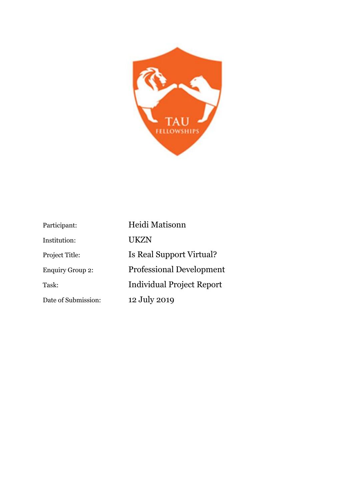

| Participant:            | Heidi Matisonn                   |
|-------------------------|----------------------------------|
| Institution:            | UKZN                             |
| Project Title:          | Is Real Support Virtual?         |
| <b>Enquiry Group 2:</b> | <b>Professional Development</b>  |
| Task:                   | <b>Individual Project Report</b> |
| Date of Submission:     | 12 July 2019                     |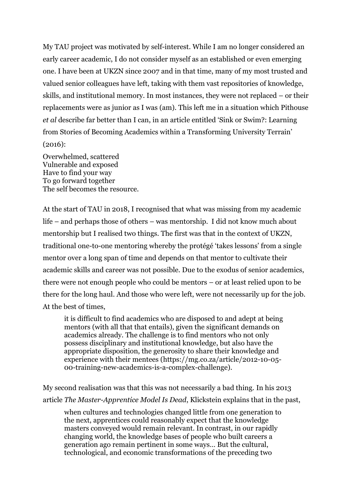My TAU project was motivated by self-interest. While I am no longer considered an early career academic, I do not consider myself as an established or even emerging one. I have been at UKZN since 2007 and in that time, many of my most trusted and valued senior colleagues have left, taking with them vast repositories of knowledge, skills, and institutional memory. In most instances, they were not replaced – or their replacements were as junior as I was (am). This left me in a situation which Pithouse *et al* describe far better than I can, in an article entitled 'Sink or Swim?: Learning from Stories of Becoming Academics within a Transforming University Terrain' (2016):

Overwhelmed, scattered Vulnerable and exposed Have to find your way To go forward together The self becomes the resource.

At the start of TAU in 2018, I recognised that what was missing from my academic life – and perhaps those of others – was mentorship. I did not know much about mentorship but I realised two things. The first was that in the context of UKZN, traditional one-to-one mentoring whereby the protégé 'takes lessons' from a single mentor over a long span of time and depends on that mentor to cultivate their academic skills and career was not possible. Due to the exodus of senior academics, there were not enough people who could be mentors – or at least relied upon to be there for the long haul. And those who were left, were not necessarily up for the job. At the best of times,

it is difficult to find academics who are disposed to and adept at being mentors (with all that that entails), given the significant demands on academics already. The challenge is to find mentors who not only possess disciplinary and institutional knowledge, but also have the appropriate disposition, the generosity to share their knowledge and experience with their mentees (https://mg.co.za/article/2012-10-05- 00-training-new-academics-is-a-complex-challenge).

My second realisation was that this was not necessarily a bad thing. In his 2013 article *The Master-Apprentice Model Is Dead*, Klickstein explains that in the past,

when cultures and technologies changed little from one generation to the next, apprentices could reasonably expect that the knowledge masters conveyed would remain relevant. In contrast, in our rapidly changing world, the knowledge bases of people who built careers a generation ago remain pertinent in some ways… But the cultural, technological, and economic transformations of the preceding two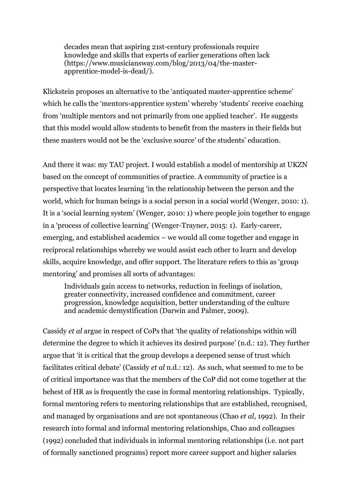decades mean that aspiring 21st-century professionals require knowledge and skills that experts of earlier generations often lack (https://www.musiciansway.com/blog/2013/04/the-masterapprentice-model-is-dead/).

Klickstein proposes an alternative to the 'antiquated master-apprentice scheme' which he calls the 'mentors-apprentice system' whereby 'students' receive coaching from 'multiple mentors and not primarily from one applied teacher'. He suggests that this model would allow students to benefit from the masters in their fields but these masters would not be the 'exclusive source' of the students' education.

And there it was: my TAU project. I would establish a model of mentorship at UKZN based on the concept of communities of practice. A community of practice is a perspective that locates learning 'in the relationship between the person and the world, which for human beings is a social person in a social world (Wenger, 2010: 1). It is a 'social learning system' (Wenger, 2010: 1) where people join together to engage in a 'process of collective learning' (Wenger-Trayner, 2015: 1). Early-career, emerging, and established academics – we would all come together and engage in reciprocal relationships whereby we would assist each other to learn and develop skills, acquire knowledge, and offer support. The literature refers to this as 'group mentoring' and promises all sorts of advantages:

Individuals gain access to networks, reduction in feelings of isolation, greater connectivity, increased confidence and commitment, career progression, knowledge acquisition, better understanding of the culture and academic demystification (Darwin and Palmer, 2009).

Cassidy *et al* argue in respect of CoPs that 'the quality of relationships within will determine the degree to which it achieves its desired purpose' (n.d.: 12). They further argue that 'it is critical that the group develops a deepened sense of trust which facilitates critical debate' (Cassidy *et al* n.d.: 12). As such, what seemed to me to be of critical importance was that the members of the CoP did not come together at the behest of HR as is frequently the case in formal mentoring relationships. Typically, formal mentoring refers to mentoring relationships that are established, recognised, and managed by organisations and are not spontaneous (Chao *et al*, 1992). In their research into formal and informal mentoring relationships, Chao and colleagues (1992) concluded that individuals in informal mentoring relationships (i.e. not part of formally sanctioned programs) report more career support and higher salaries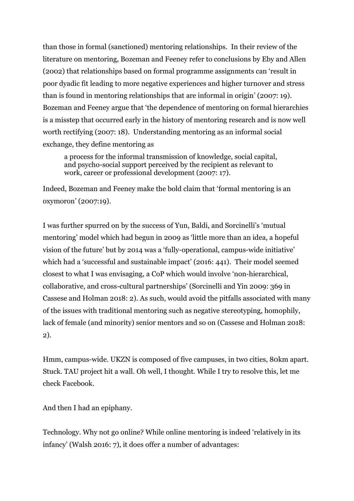than those in formal (sanctioned) mentoring relationships. In their review of the literature on mentoring, Bozeman and Feeney refer to conclusions by Eby and Allen (2002) that relationships based on formal programme assignments can 'result in poor dyadic fit leading to more negative experiences and higher turnover and stress than is found in mentoring relationships that are informal in origin' (2007: 19). Bozeman and Feeney argue that 'the dependence of mentoring on formal hierarchies is a misstep that occurred early in the history of mentoring research and is now well worth rectifying (2007: 18). Understanding mentoring as an informal social exchange, they define mentoring as

a process for the informal transmission of knowledge, social capital, and psycho-social support perceived by the recipient as relevant to work, career or professional development (2007: 17).

Indeed, Bozeman and Feeney make the bold claim that 'formal mentoring is an oxymoron' (2007:19).

I was further spurred on by the success of Yun, Baldi, and Sorcinelli's 'mutual mentoring' model which had begun in 2009 as 'little more than an idea, a hopeful vision of the future' but by 2014 was a 'fully-operational, campus-wide initiative' which had a 'successful and sustainable impact' (2016: 441). Their model seemed closest to what I was envisaging, a CoP which would involve 'non-hierarchical, collaborative, and cross-cultural partnerships' (Sorcinelli and Yin 2009: 369 in Cassese and Holman 2018: 2). As such, would avoid the pitfalls associated with many of the issues with traditional mentoring such as negative stereotyping, homophily, lack of female (and minority) senior mentors and so on (Cassese and Holman 2018: 2).

Hmm, campus-wide. UKZN is composed of five campuses, in two cities, 80km apart. Stuck. TAU project hit a wall. Oh well, I thought. While I try to resolve this, let me check Facebook.

And then I had an epiphany.

Technology. Why not go online? While online mentoring is indeed 'relatively in its infancy' (Walsh 2016: 7), it does offer a number of advantages: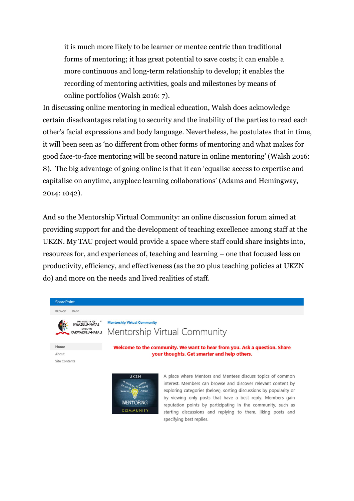it is much more likely to be learner or mentee centric than traditional forms of mentoring; it has great potential to save costs; it can enable a more continuous and long-term relationship to develop; it enables the recording of mentoring activities, goals and milestones by means of online portfolios (Walsh 2016: 7).

In discussing online mentoring in medical education, Walsh does acknowledge certain disadvantages relating to security and the inability of the parties to read each other's facial expressions and body language. Nevertheless, he postulates that in time, it will been seen as 'no different from other forms of mentoring and what makes for good face-to-face mentoring will be second nature in online mentoring' (Walsh 2016: 8). The big advantage of going online is that it can 'equalise access to expertise and capitalise on anytime, anyplace learning collaborations' (Adams and Hemingway, 2014: 1042).

And so the Mentorship Virtual Community: an online discussion forum aimed at providing support for and the development of teaching excellence among staff at the UKZN. My TAU project would provide a space where staff could share insights into, resources for, and experiences of, teaching and learning – one that focused less on productivity, efficiency, and effectiveness (as the 20 plus teaching policies at UKZN do) and more on the needs and lived realities of staff.

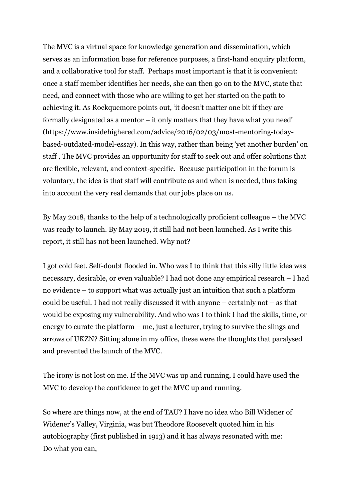The MVC is a virtual space for knowledge generation and dissemination, which serves as an information base for reference purposes, a first-hand enquiry platform, and a collaborative tool for staff. Perhaps most important is that it is convenient: once a staff member identifies her needs, she can then go on to the MVC, state that need, and connect with those who are willing to get her started on the path to achieving it. As Rockquemore points out, 'it doesn't matter one bit if they are formally designated as a mentor – it only matters that they have what you need' (https://www.insidehighered.com/advice/2016/02/03/most-mentoring-todaybased-outdated-model-essay). In this way, rather than being 'yet another burden' on staff , The MVC provides an opportunity for staff to seek out and offer solutions that are flexible, relevant, and context-specific. Because participation in the forum is voluntary, the idea is that staff will contribute as and when is needed, thus taking into account the very real demands that our jobs place on us.

By May 2018, thanks to the help of a technologically proficient colleague – the MVC was ready to launch. By May 2019, it still had not been launched. As I write this report, it still has not been launched. Why not?

I got cold feet. Self-doubt flooded in. Who was I to think that this silly little idea was necessary, desirable, or even valuable? I had not done any empirical research – I had no evidence – to support what was actually just an intuition that such a platform could be useful. I had not really discussed it with anyone – certainly not – as that would be exposing my vulnerability. And who was I to think I had the skills, time, or energy to curate the platform – me, just a lecturer, trying to survive the slings and arrows of UKZN? Sitting alone in my office, these were the thoughts that paralysed and prevented the launch of the MVC.

The irony is not lost on me. If the MVC was up and running, I could have used the MVC to develop the confidence to get the MVC up and running.

So where are things now, at the end of TAU? I have no idea who Bill Widener of Widener's Valley, Virginia, was but Theodore Roosevelt quoted him in his autobiography (first published in 1913) and it has always resonated with me: Do what you can,